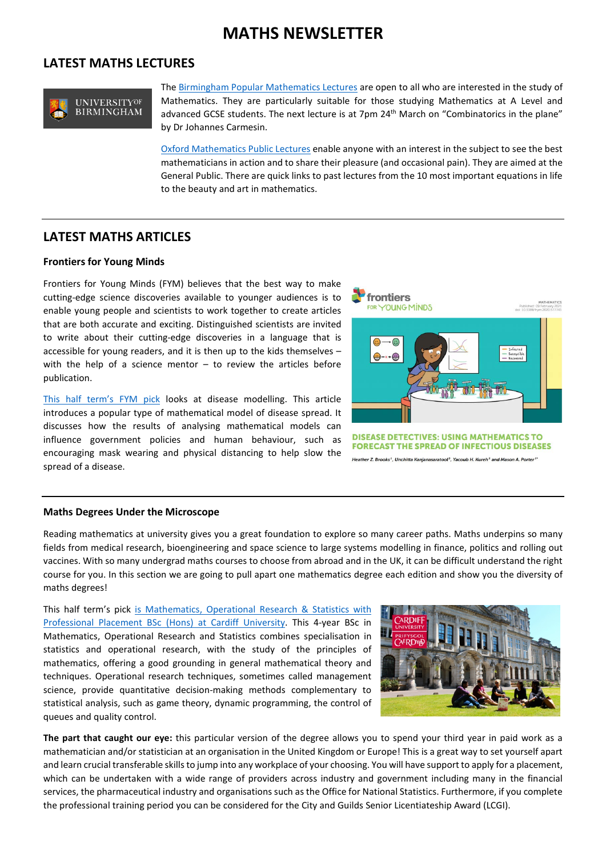## **MATHS NEWSLETTER**

#### **LATEST MATHS LECTURES**



Th[e Birmingham Popular Mathematics Lectures](https://www.birmingham.ac.uk/schools/mathematics/news-and-events/birmingham-popular-maths-lecture.aspx) are open to all who are interested in the study of Mathematics. They are particularly suitable for those studying Mathematics at A Level and advanced GCSE students. The next lecture is at 7pm 24<sup>th</sup> March on "Combinatorics in the plane" by Dr Johannes Carmesin.

[Oxford Mathematics Public Lectures](https://www.maths.ox.ac.uk/events/public-lectures-events) enable anyone with an interest in the subject to see the best mathematicians in action and to share their pleasure (and occasional pain). They are aimed at the General Public. There are quick links to past lectures from the 10 most important equations in life to the beauty and art in mathematics.

### **LATEST MATHS ARTICLES**

#### **Frontiers for Young Minds**

Frontiers for Young Minds (FYM) believes that the best way to make cutting-edge science discoveries available to younger audiences is to enable young people and scientists to work together to create articles that are both accurate and exciting. Distinguished scientists are invited to write about their cutting-edge discoveries in a language that is accessible for young readers, and it is then up to the kids themselves – with the help of a science mentor – to review the articles before publication.

[This half term's FYM pick](https://kids.frontiersin.org/article/10.3389/frym.2020.577741) looks at disease modelling. This article introduces a popular type of mathematical model of disease spread. It discusses how the results of analysing mathematical models can influence government policies and human behaviour, such as encouraging mask wearing and physical distancing to help slow the spread of a disease.



er Z. Brooks<sup>1</sup>, Unchitta Kanjanasaratool<sup>2</sup>, Yacoub H. Kureh<sup>3</sup> and Mason A. Porter<sup>3</sup>\*

#### **Maths Degrees Under the Microscope**

Reading mathematics at university gives you a great foundation to explore so many career paths. Maths underpins so many fields from medical research, bioengineering and space science to large systems modelling in finance, politics and rolling out vaccines. With so many undergrad maths courses to choose from abroad and in the UK, it can be difficult understand the right course for you. In this section we are going to pull apart one mathematics degree each edition and show you the diversity of maths degrees!

This half term's pick [is Mathematics, Operational Research & Statistics with](https://www.whatuni.com/degrees/mathematics-operational-research-statistics-with-professional-placement-bsc-hons/cardiff-university/cd/54956612/3958/)  [Professional Placement BSc \(Hons\) at Cardiff University.](https://www.whatuni.com/degrees/mathematics-operational-research-statistics-with-professional-placement-bsc-hons/cardiff-university/cd/54956612/3958/) This 4-year BSc in Mathematics, Operational Research and Statistics combines specialisation in statistics and operational research, with the study of the principles of mathematics, offering a good grounding in general mathematical theory and techniques. Operational research techniques, sometimes called management science, provide quantitative decision-making methods complementary to statistical analysis, such as game theory, dynamic programming, the control of queues and quality control.



**The part that caught our eye:** this particular version of the degree allows you to spend your third year in paid work as a mathematician and/or statistician at an organisation in the United Kingdom or Europe! This is a great way to set yourself apart and learn crucial transferable skills to jump into any workplace of your choosing. You will have support to apply for a placement, which can be undertaken with a wide range of providers across industry and government including many in the financial services, the pharmaceutical industry and organisations such as the Office for National Statistics. Furthermore, if you complete the professional training period you can be considered for the City and Guilds Senior Licentiateship Award (LCGI).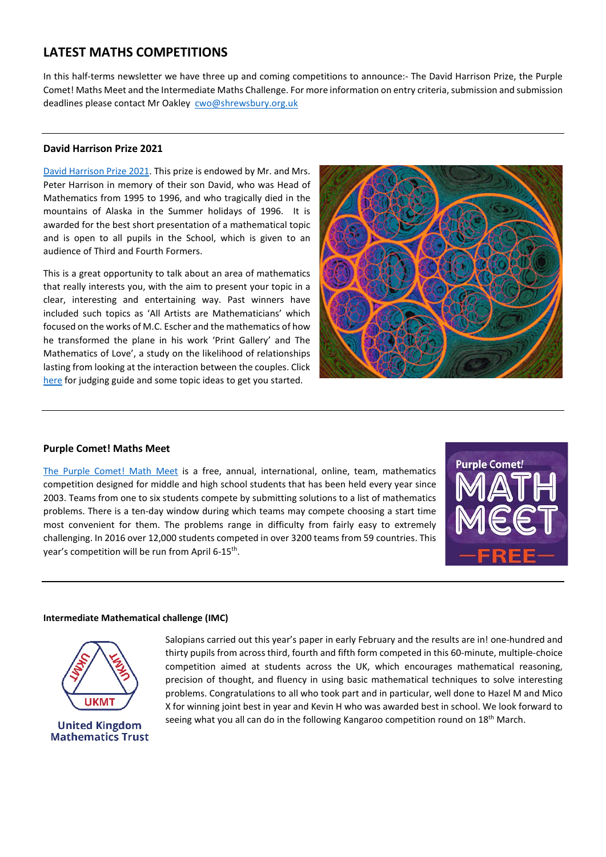## **LATEST MATHS COMPETITIONS**

In this half-terms newsletter we have three up and coming competitions to announce:- The David Harrison Prize, the Purple Comet! Maths Meet and the Intermediate Maths Challenge. For more information on entry criteria, submission and submission deadlines please contact Mr Oakley [cwo@shrewsbury.org.uk](mailto:cwo@shrewsbury.org.uk)

#### **David Harrison Prize 2021**

[David Harrison Prize](https://www.shrewsbury.org.uk/news/david-harrison-mathematics-prize) 2021. This prize is endowed by Mr. and Mrs. Peter Harrison in memory of their son David, who was Head of Mathematics from 1995 to 1996, and who tragically died in the mountains of Alaska in the Summer holidays of 1996. It is awarded for the best short presentation of a mathematical topic and is open to all pupils in the School, which is given to an audience of Third and Fourth Formers.

This is a great opportunity to talk about an area of mathematics that really interests you, with the aim to present your topic in a clear, interesting and entertaining way. Past winners have included such topics as 'All Artists are Mathematicians' which focused on the works of M.C. Escher and the mathematics of how he transformed the plane in his work 'Print Gallery' and The Mathematics of Love', a study on the likelihood of relationships lasting from looking at the interaction between the couples. Click [here](https://shrewsburyschool-my.sharepoint.com/personal/kmb_shrewsbury_org_uk/Documents/Documents/STEM_Newletter/David%20Harrison%20Prize%202019.pdf) for judging guide and some topic ideas to get you started.



#### **Purple Comet! Maths Meet**

[The Purple Comet! Math Meet](https://purplecomet.org/?action=information/summary) is a free, annual, international, online, team, mathematics competition designed for middle and high school students that has been held every year since 2003. Teams from one to six students compete by submitting solutions to a list of mathematics problems. There is a ten-day window during which teams may compete choosing a start time most convenient for them. The problems range in difficulty from fairly easy to extremely challenging. In 2016 over 12,000 students competed in over 3200 teams from 59 countries. This year's competition will be run from April 6-15<sup>th</sup>.



#### **Intermediate Mathematical challenge (IMC)**



Salopians carried out this year's paper in early February and the results are in! one-hundred and thirty pupils from across third, fourth and fifth form competed in this 60-minute, multiple-choice competition aimed at students across the UK, which encourages mathematical reasoning, precision of thought, and fluency in using basic mathematical techniques to solve interesting problems. Congratulations to all who took part and in particular, well done to Hazel M and Mico X for winning joint best in year and Kevin H who was awarded best in school. We look forward to seeing what you all can do in the following Kangaroo competition round on 18<sup>th</sup> March.

**United Kingdom Mathematics Trust**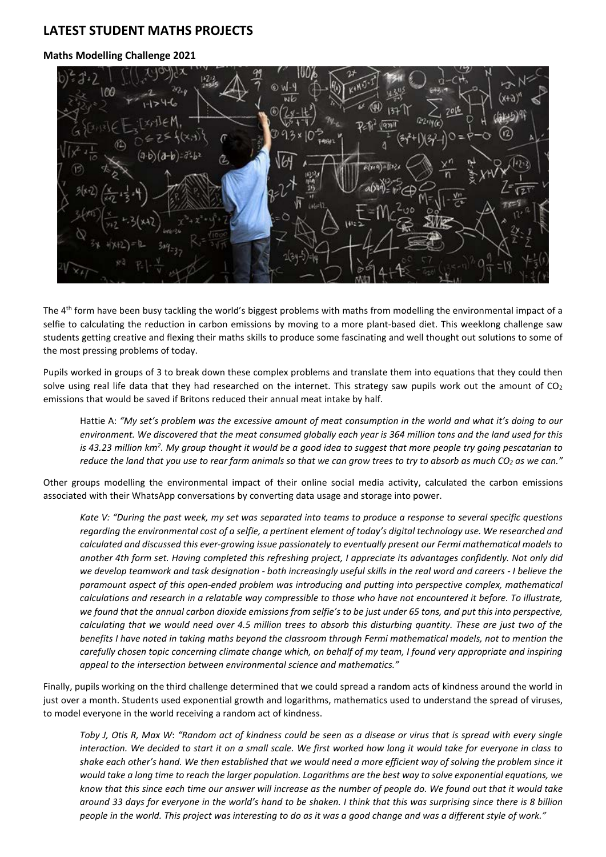## **LATEST STUDENT MATHS PROJECTS**

#### **Maths Modelling Challenge 2021**

The 4<sup>th</sup> form have been busy tackling the world's biggest problems with maths from modelling the environmental impact of a selfie to calculating the reduction in carbon emissions by moving to a more plant-based diet. This weeklong challenge saw students getting creative and flexing their maths skills to produce some fascinating and well thought out solutions to some of the most pressing problems of today.

Pupils worked in groups of 3 to break down these complex problems and translate them into equations that they could then solve using real life data that they had researched on the internet. This strategy saw pupils work out the amount of  $CO<sub>2</sub>$ emissions that would be saved if Britons reduced their annual meat intake by half.

Hattie A: *"My set's problem was the excessive amount of meat consumption in the world and what it's doing to our environment. We discovered that the meat consumed globally each year is 364 million tons and the land used for this is 43.23 million km2 . My group thought it would be a good idea to suggest that more people try going pescatarian to*  reduce the land that you use to rear farm animals so that we can grow trees to try to absorb as much CO<sub>2</sub> as we can."

Other groups modelling the environmental impact of their online social media activity, calculated the carbon emissions associated with their WhatsApp conversations by converting data usage and storage into power.

*Kate V: "During the past week, my set was separated into teams to produce a response to several specific questions regarding the environmental cost of a selfie, a pertinent element of today's digital technology use. We researched and calculated and discussed this ever-growing issue passionately to eventually present our Fermi mathematical models to another 4th form set. Having completed this refreshing project, I appreciate its advantages confidently. Not only did we develop teamwork and task designation - both increasingly useful skills in the real word and careers - I believe the paramount aspect of this open-ended problem was introducing and putting into perspective complex, mathematical calculations and research in a relatable way compressible to those who have not encountered it before. To illustrate, we found that the annual carbon dioxide emissions from selfie's to be just under 65 tons, and put this into perspective, calculating that we would need over 4.5 million trees to absorb this disturbing quantity. These are just two of the benefits I have noted in taking maths beyond the classroom through Fermi mathematical models, not to mention the carefully chosen topic concerning climate change which, on behalf of my team, I found very appropriate and inspiring appeal to the intersection between environmental science and mathematics."*

Finally, pupils working on the third challenge determined that we could spread a random acts of kindness around the world in just over a month. Students used exponential growth and logarithms, mathematics used to understand the spread of viruses, to model everyone in the world receiving a random act of kindness.

*Toby J, Otis R, Max W*: *"Random act of kindness could be seen as a disease or virus that is spread with every single interaction. We decided to start it on a small scale. We first worked how long it would take for everyone in class to shake each other's hand. We then established that we would need a more efficient way of solving the problem since it would take a long time to reach the larger population. Logarithms are the best way to solve exponential equations, we know that this since each time our answer will increase as the number of people do. We found out that it would take around 33 days for everyone in the world's hand to be shaken. I think that this was surprising since there is 8 billion people in the world. This project was interesting to do as it was a good change and was a different style of work."*